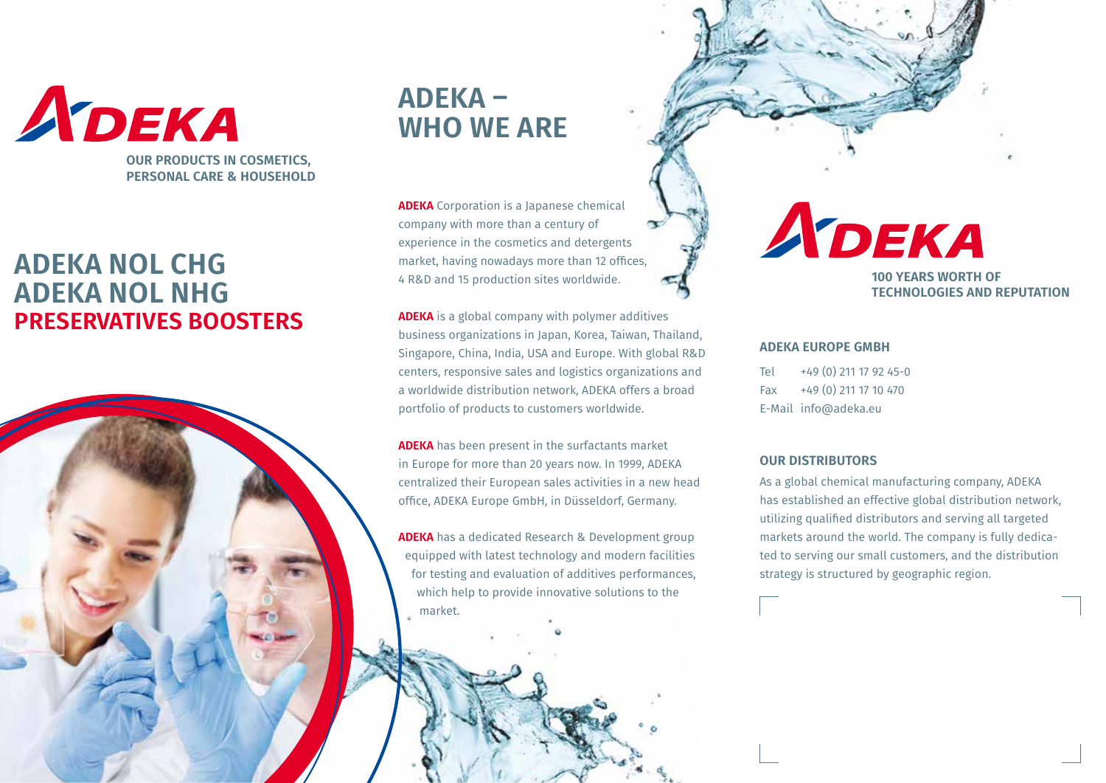

# **ADEKA NOL CHG ADEKA NOL NHG PRESERVATIVES BOOSTERS**

# **ADEKA – WHO WE ARE**

**ADEKA** Corporation is a Japanese chemical company with more than a century of experience in the cosmetics and detergents market, having nowadays more than 12 offices, 4 R&D and 15 production sites worldwide.

**ADEKA** is a global company with polymer additives business organizations in Japan, Korea, Taiwan, Thailand, Singapore, China, India, USA and Europe. With global R&D centers, responsive sales and logistics organizations and a worldwide distribution network, ADEKA offers a broad portfolio of products to customers worldwide.

**ADEKA** has been present in the surfactants market in Europe for more than 20 years now. In 1999, ADEKA centralized their European sales activities in a new head office, ADEKA Europe GmbH, in Düsseldorf, Germany.

**ADEKA** has a dedicated Research & Development group equipped with latest technology and modern facilities for testing and evaluation of additives performances, which help to provide innovative solutions to the market.

# ADEKA

**100 YEARS WORTH OF TECHNOLOGIES AND REPUTATION**

#### **ADEKA EUROPE GMBH**

Tel +49 (0) 211 17 92 45-0 Fax +49 (0) 211 17 10 470 E-Mail info@adeka.eu

#### **OUR DISTRIBUTORS**

As a global chemical manufacturing company, ADEKA has established an effective global distribution network, utilizing qualified distributors and serving all targeted markets around the world. The company is fully dedicated to serving our small customers, and the distribution strategy is structured by geographic region.